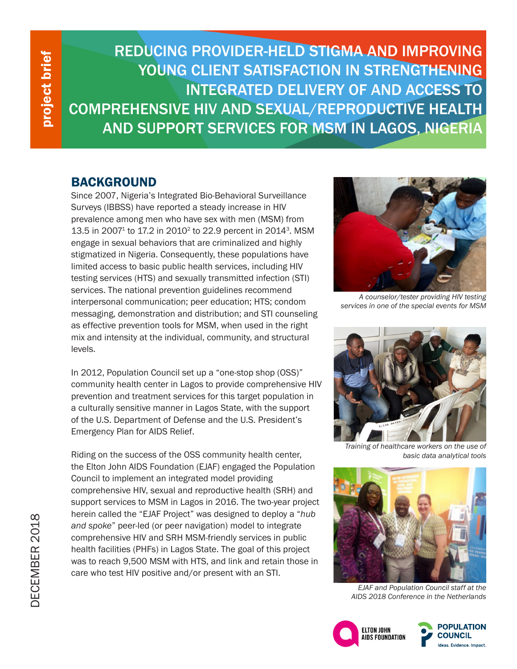project brief project brief

REDUCING PROVIDER-HELD STIGMA AND IMPROVING YOUNG CLIENT SATISFACTION IN STRENGTHENING INTEGRATED DELIVERY OF AND ACCESS TO COMPREHENSIVE HIV AND SEXUAL/REPRODUCTIVE HEALTH AND SUPPORT SERVICES FOR MSM IN LAGOS, NIGERIA

## BACKGROUND

Since 2007, Nigeria's Integrated Bio-Behavioral Surveillance Surveys (IBBSS) have reported a steady increase in HIV prevalence among men who have sex with men (MSM) from 13.5 in 20071 to 17.2 in 20102 to 22.9 percent in 20143. MSM engage in sexual behaviors that are criminalized and highly stigmatized in Nigeria. Consequently, these populations have limited access to basic public health services, including HIV testing services (HTS) and sexually transmitted infection (STI) services. The national prevention guidelines recommend interpersonal communication; peer education; HTS; condom messaging, demonstration and distribution; and STI counseling as effective prevention tools for MSM, when used in the right mix and intensity at the individual, community, and structural levels.

In 2012, Population Council set up a "one-stop shop (OSS)" community health center in Lagos to provide comprehensive HIV prevention and treatment services for this target population in a culturally sensitive manner in Lagos State, with the support of the U.S. Department of Defense and the U.S. President's Emergency Plan for AIDS Relief.

Riding on the success of the OSS community health center, the Elton John AIDS Foundation (EJAF) engaged the Population Council to implement an integrated model providing comprehensive HIV, sexual and reproductive health (SRH) and support services to MSM in Lagos in 2016. The two-year project herein called the "EJAF Project" was designed to deploy a "*hub and spoke*" peer-led (or peer navigation) model to integrate comprehensive HIV and SRH MSM-friendly services in public health facilities (PHFs) in Lagos State. The goal of this project was to reach 9,500 MSM with HTS, and link and retain those in care who test HIV positive and/or present with an STI.



*A counselor/tester providing HIV testing services in one of the special events for MSM* 



*Training of healthcare workers on the use of basic data analytical tools*



*EJAF and Population Council staff at the AIDS 2018 Conference in the Netherlands*

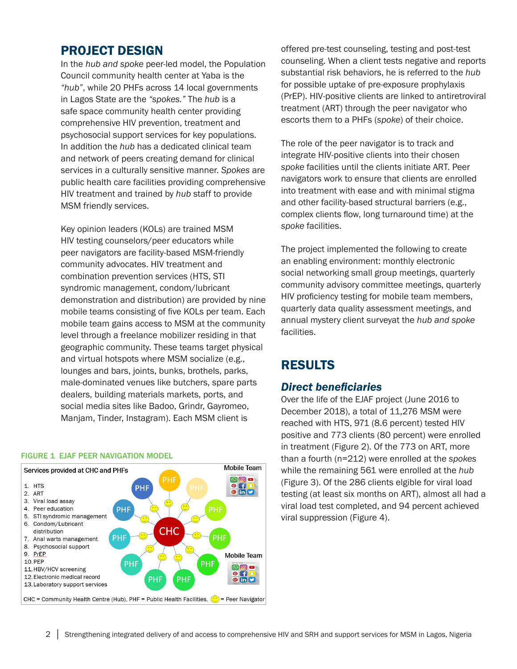### PROJECT DESIGN

In the *hub and spoke* peer-led model, the Population Council community health center at Yaba is the *"hub"*, while 20 PHFs across 14 local governments in Lagos State are the *"spokes."* The *hub* is a safe space community health center providing comprehensive HIV prevention, treatment and psychosocial support services for key populations. In addition the *hub* has a dedicated clinical team and network of peers creating demand for clinical services in a culturally sensitive manner. *Spokes* are public health care facilities providing comprehensive HIV treatment and trained by *hub* staff to provide MSM friendly services.

Key opinion leaders (KOLs) are trained MSM HIV testing counselors/peer educators while peer navigators are facility-based MSM-friendly community advocates. HIV treatment and combination prevention services (HTS, STI syndromic management, condom/lubricant demonstration and distribution) are provided by nine mobile teams consisting of five KOLs per team. Each mobile team gains access to MSM at the community level through a freelance mobilizer residing in that geographic community. These teams target physical and virtual hotspots where MSM socialize (e.g., lounges and bars, joints, bunks, brothels, parks, male-dominated venues like butchers, spare parts dealers, building materials markets, ports, and social media sites like Badoo, Grindr, Gayromeo, Manjam, Tinder, Instagram). Each MSM client is

#### FIGURE 1 EJAF PEER NAVIGATION MODEL



offered pre-test counseling, testing and post-test counseling. When a client tests negative and reports substantial risk behaviors, he is referred to the *hub* for possible uptake of pre-exposure prophylaxis (PrEP). HIV-positive clients are linked to antiretroviral treatment (ART) through the peer navigator who escorts them to a PHFs (*spoke*) of their choice.

The role of the peer navigator is to track and integrate HIV-positive clients into their chosen *spoke* facilities until the clients initiate ART. Peer navigators work to ensure that clients are enrolled into treatment with ease and with minimal stigma and other facility-based structural barriers (e.g., complex clients flow, long turnaround time) at the *spoke* facilities.

The project implemented the following to create an enabling environment: monthly electronic social networking small group meetings, quarterly community advisory committee meetings, quarterly HIV proficiency testing for mobile team members, quarterly data quality assessment meetings, and annual mystery client surveyat the *hub and spoke*  facilities.

# RESULTS

### *Direct beneficiaries*

Over the life of the EJAF project (June 2016 to December 2018), a total of 11,276 MSM were reached with HTS, 971 (8.6 percent) tested HIV positive and 773 clients (80 percent) were enrolled in treatment (Figure 2). Of the 773 on ART, more than a fourth (n=212) were enrolled at the *spokes* while the remaining 561 were enrolled at the *hub* (Figure 3). Of the 286 clients elgible for viral load testing (at least six months on ART), almost all had a viral load test completed, and 94 percent achieved viral suppression (Figure 4).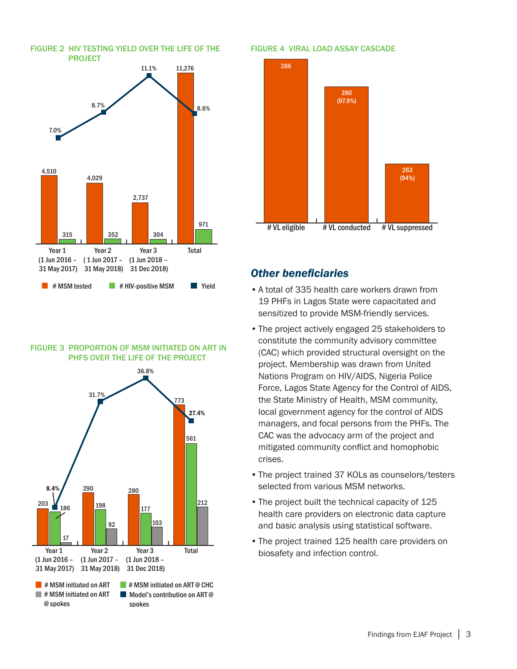

### FIGURE 3 PROPORTION OF MSM INITIATED ON ART IN PHFS OVER THE LIFE OF THE PROJECT



#### FIGURE 4 VIRAL LOAD ASSAY CASCADE



### *Other beneficiaries*

- •A total of 335 health care workers drawn from 19 PHFs in Lagos State were capacitated and sensitized to provide MSM-friendly services.
- •The project actively engaged 25 stakeholders to constitute the community advisory committee (CAC) which provided structural oversight on the project. Membership was drawn from United Nations Program on HIV/AIDS, Nigeria Police Force, Lagos State Agency for the Control of AIDS, the State Ministry of Health, MSM community, local government agency for the control of AIDS managers, and focal persons from the PHFs. The CAC was the advocacy arm of the project and mitigated community conflict and homophobic crises.
- •The project trained 37 KOLs as counselors/testers selected from various MSM networks.
- The project built the technical capacity of 125 health care providers on electronic data capture and basic analysis using statistical software.
- •The project trained 125 health care providers on biosafety and infection control.